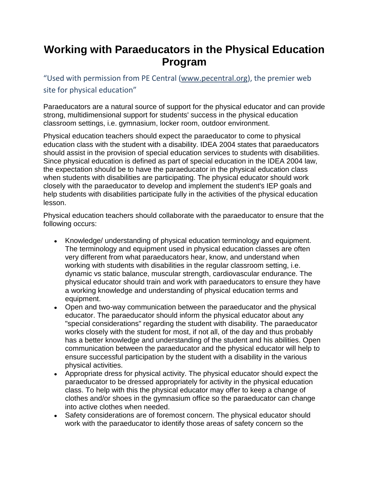## **Working with Paraeducators in the Physical Education Program**

"Used with permission from PE Central ([www.pecentral.org\)](http://www.pecentral.org/), the premier web site for physical education"

Paraeducators are a natural source of support for the physical educator and can provide strong, multidimensional support for students' success in the physical education classroom settings, i.e. gymnasium, locker room, outdoor environment.

Physical education teachers should expect the paraeducator to come to physical education class with the student with a disability. IDEA 2004 states that paraeducators should assist in the provision of special education services to students with disabilities. Since physical education is defined as part of special education in the IDEA 2004 law, the expectation should be to have the paraeducator in the physical education class when students with disabilities are participating. The physical educator should work closely with the paraeducator to develop and implement the student's IEP goals and help students with disabilities participate fully in the activities of the physical education lesson.

Physical education teachers should collaborate with the paraeducator to ensure that the following occurs:

- Knowledge/ understanding of physical education terminology and equipment. The terminology and equipment used in physical education classes are often very different from what paraeducators hear, know, and understand when working with students with disabilities in the regular classroom setting, i.e. dynamic vs static balance, muscular strength, cardiovascular endurance. The physical educator should train and work with paraeducators to ensure they have a working knowledge and understanding of physical education terms and equipment.
- Open and two-way communication between the paraeducator and the physical educator. The paraeducator should inform the physical educator about any "special considerations" regarding the student with disability. The paraeducator works closely with the student for most, if not all, of the day and thus probably has a better knowledge and understanding of the student and his abilities. Open communication between the paraeducator and the physical educator will help to ensure successful participation by the student with a disability in the various physical activities.
- Appropriate dress for physical activity. The physical educator should expect the paraeducator to be dressed appropriately for activity in the physical education class. To help with this the physical educator may offer to keep a change of clothes and/or shoes in the gymnasium office so the paraeducator can change into active clothes when needed.
- Safety considerations are of foremost concern. The physical educator should work with the paraeducator to identify those areas of safety concern so the